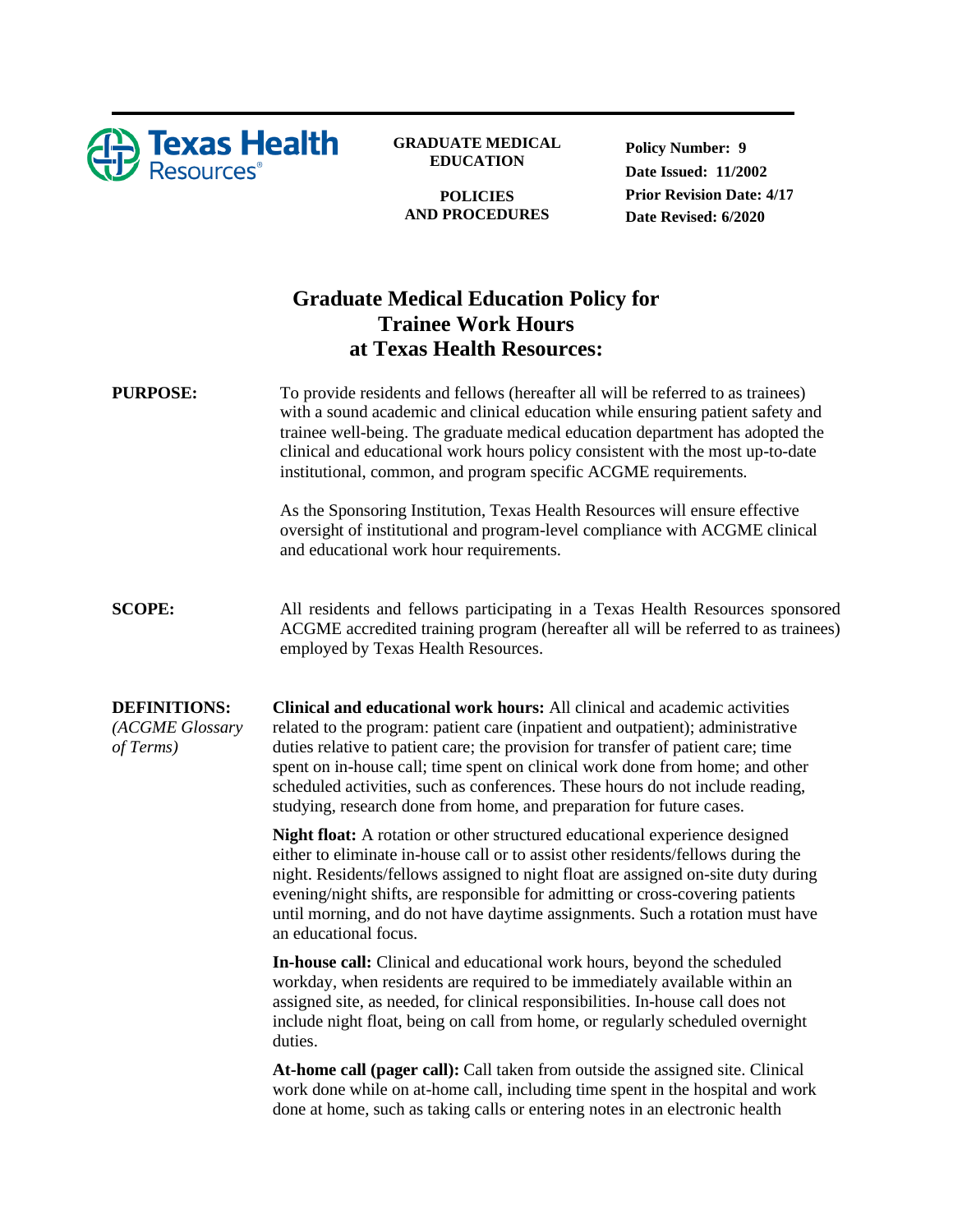

**GRADUATE MEDICAL EDUCATION**

**POLICIES AND PROCEDURES** **Policy Number: 9 Date Issued: 11/2002 Prior Revision Date: 4/17 Date Revised: 6/2020**

# **Graduate Medical Education Policy for Trainee Work Hours at Texas Health Resources:**

**PURPOSE:** To provide residents and fellows (hereafter all will be referred to as trainees) with a sound academic and clinical education while ensuring patient safety and trainee well-being. The graduate medical education department has adopted the clinical and educational work hours policy consistent with the most up-to-date institutional, common, and program specific ACGME requirements.

> As the Sponsoring Institution, Texas Health Resources will ensure effective oversight of institutional and program-level compliance with ACGME clinical and educational work hour requirements.

**SCOPE:** All residents and fellows participating in a Texas Health Resources sponsored ACGME accredited training program (hereafter all will be referred to as trainees) employed by Texas Health Resources.

**DEFINITIONS:** *(ACGME Glossary of Terms)* **Clinical and educational work hours:** All clinical and academic activities related to the program: patient care (inpatient and outpatient); administrative duties relative to patient care; the provision for transfer of patient care; time spent on in-house call; time spent on clinical work done from home; and other scheduled activities, such as conferences. These hours do not include reading, studying, research done from home, and preparation for future cases.

> **Night float:** A rotation or other structured educational experience designed either to eliminate in-house call or to assist other residents/fellows during the night. Residents/fellows assigned to night float are assigned on-site duty during evening/night shifts, are responsible for admitting or cross-covering patients until morning, and do not have daytime assignments. Such a rotation must have an educational focus.

**In-house call:** Clinical and educational work hours, beyond the scheduled workday, when residents are required to be immediately available within an assigned site, as needed, for clinical responsibilities. In-house call does not include night float, being on call from home, or regularly scheduled overnight duties.

**At-home call (pager call):** Call taken from outside the assigned site. Clinical work done while on at-home call, including time spent in the hospital and work done at home, such as taking calls or entering notes in an electronic health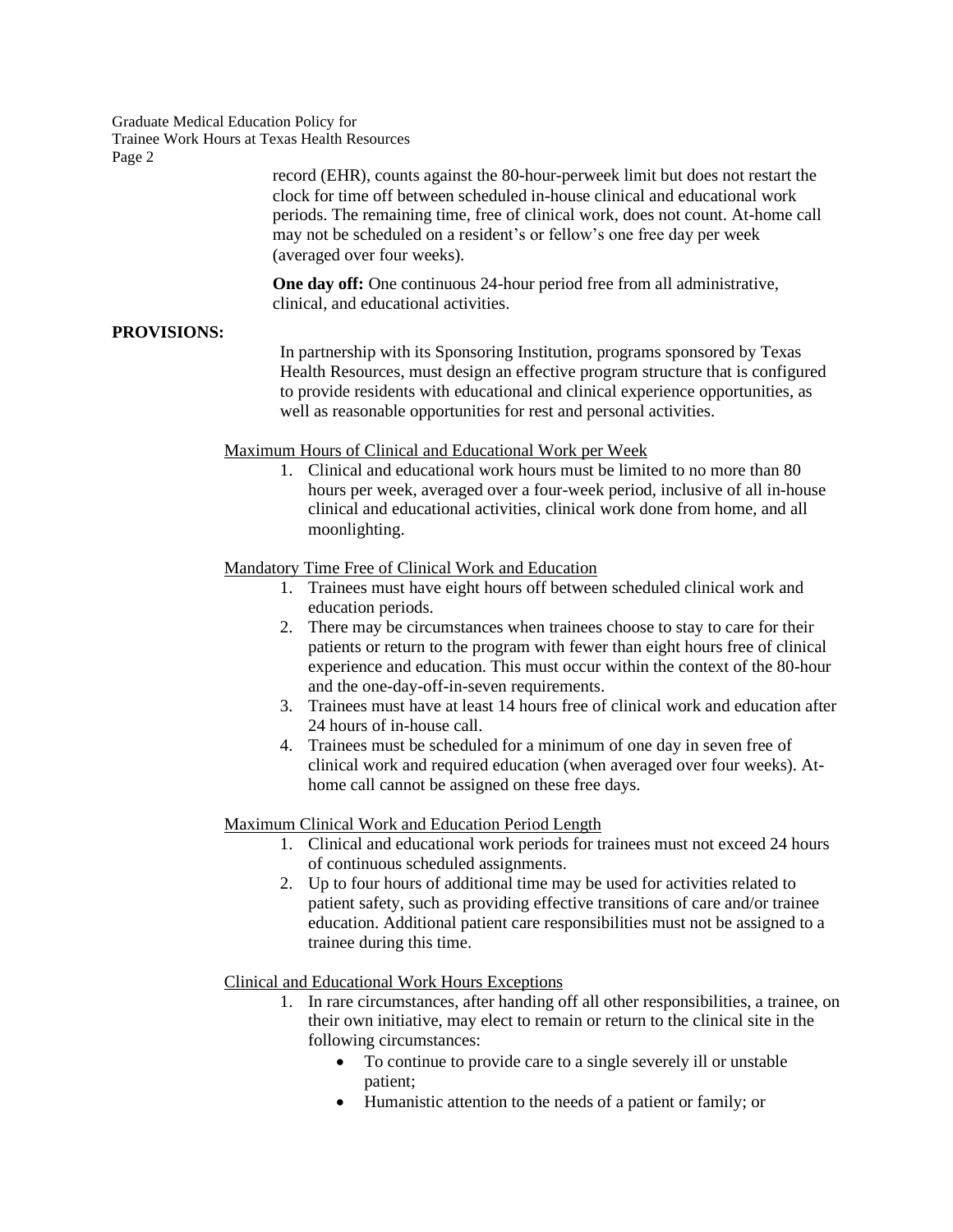Graduate Medical Education Policy for Trainee Work Hours at Texas Health Resources Page 2

> record (EHR), counts against the 80-hour-perweek limit but does not restart the clock for time off between scheduled in-house clinical and educational work periods. The remaining time, free of clinical work, does not count. At-home call may not be scheduled on a resident's or fellow's one free day per week (averaged over four weeks).

**One day off:** One continuous 24-hour period free from all administrative, clinical, and educational activities.

#### **PROVISIONS:**

In partnership with its Sponsoring Institution, programs sponsored by Texas Health Resources, must design an effective program structure that is configured to provide residents with educational and clinical experience opportunities, as well as reasonable opportunities for rest and personal activities.

#### Maximum Hours of Clinical and Educational Work per Week

1. Clinical and educational work hours must be limited to no more than 80 hours per week, averaged over a four-week period, inclusive of all in-house clinical and educational activities, clinical work done from home, and all moonlighting.

#### Mandatory Time Free of Clinical Work and Education

- 1. Trainees must have eight hours off between scheduled clinical work and education periods.
- 2. There may be circumstances when trainees choose to stay to care for their patients or return to the program with fewer than eight hours free of clinical experience and education. This must occur within the context of the 80-hour and the one-day-off-in-seven requirements.
- 3. Trainees must have at least 14 hours free of clinical work and education after 24 hours of in-house call.
- 4. Trainees must be scheduled for a minimum of one day in seven free of clinical work and required education (when averaged over four weeks). Athome call cannot be assigned on these free days.

#### Maximum Clinical Work and Education Period Length

- 1. Clinical and educational work periods for trainees must not exceed 24 hours of continuous scheduled assignments.
- 2. Up to four hours of additional time may be used for activities related to patient safety, such as providing effective transitions of care and/or trainee education. Additional patient care responsibilities must not be assigned to a trainee during this time.

#### Clinical and Educational Work Hours Exceptions

- 1. In rare circumstances, after handing off all other responsibilities, a trainee, on their own initiative, may elect to remain or return to the clinical site in the following circumstances:
	- To continue to provide care to a single severely ill or unstable patient;
	- Humanistic attention to the needs of a patient or family; or